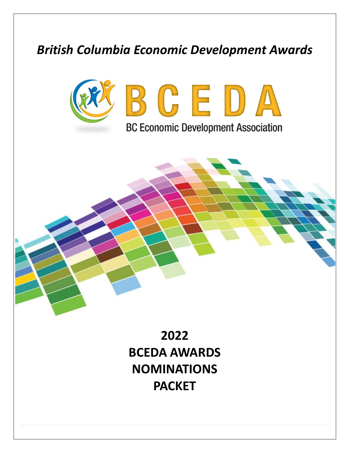# *British Columbia Economic Development Awards*



**BC Economic Development Association** 

**2022 BCEDA AWARDS NOMINATIONS PACKET**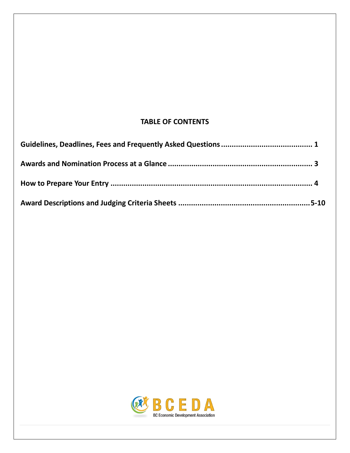### **TABLE OF CONTENTS**

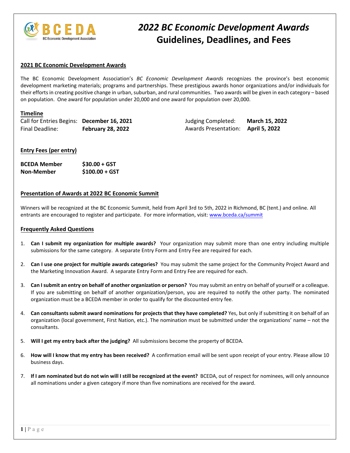

### *2022 BC Economic Development Awards* **Guidelines, Deadlines, and Fees**

#### **2021 BC Economic Development Awards**

The BC Economic Development Association's *BC Economic Development Awards* recognizes the province's best economic development marketing materials; programs and partnerships. These prestigious awards honor organizations and/or individuals for their efforts in creating positive change in urban, suburban, and rural communities. Two awards will be given in each category – based on population. One award for population under 20,000 and one award for population over 20,000.

#### **Timeline**

Call for Entries Begins: **December 16, 2021** Final Deadline: **February 28, 2022**

Judging Completed: **March 15, 2022** Awards Presentation: **April 5, 2022**

#### **Entry Fees (per entry)**

| <b>BCEDA Member</b> | $$30.00 + GST$  |
|---------------------|-----------------|
| <b>Non-Member</b>   | $$100.00 + GST$ |

#### **Presentation of Awards at 2022 BC Economic Summit**

Winners will be recognized at the BC Economic Summit, held from April 3rd to 5th, 2022 in Richmond, BC (tent.) and online. All entrants are encouraged to register and participate. For more information, visit: [www.bceda.ca/s](http://www.bceda.ca/)ummit

#### **Frequently Asked Questions**

- 1. **Can I submit my organization for multiple awards?** Your organization may submit more than one entry including multiple submissions for the same category. A separate Entry Form and Entry Fee are required for each.
- 2. **Can I use one project for multiple awards categories?** You may submit the same project for the Community Project Award and the Marketing Innovation Award. A separate Entry Form and Entry Fee are required for each.
- 3. **Can Isubmit an entry on behalf of another organization or person?** You may submit an entry on behalf of yourself or a colleague. If you are submitting on behalf of another organization/person, you are required to notify the other party. The nominated organization must be a BCEDA member in order to qualify for the discounted entry fee.
- 4. **Can consultants submit award nominations for projects that they have completed?** Yes, but only if submitting it on behalf of an organization (local government, First Nation, etc.). The nomination must be submitted under the organizations' name – not the consultants.
- 5. **Will I get my entry back after the judging?** All submissions become the property of BCEDA.
- 6. **How will I know that my entry has been received?** A confirmation email will be sent upon receipt of your entry. Please allow 10 business days.
- 7. **If I am nominated but do not win will I still be recognized at the event?** BCEDA, out of respect for nominees, will only announce all nominations under a given category if more than five nominations are received for the award.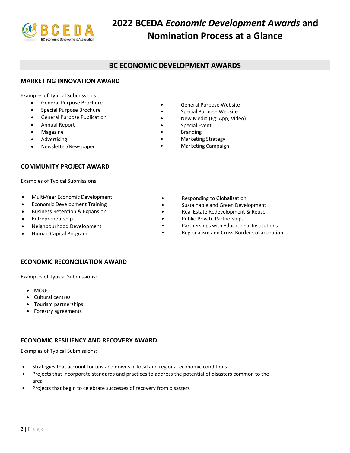

## **2022 BCEDA** *Economic Development Awards* **and Nomination Process at a Glance**

### **BC ECONOMIC DEVELOPMENT AWARDS**

#### **MARKETING INNOVATION AWARD**

Examples of Typical Submissions:

- General Purpose Brochure
- Special Purpose Brochure
- General Purpose Publication
- Annual Report
- Magazine
- **Advertising**
- Newsletter/Newspaper

#### **COMMUNITY PROJECT AWARD**

Examples of Typical Submissions:

- Multi-Year Economic Development
- Economic Development Training
- Business Retention & Expansion
- Entrepreneurship
- Neighbourhood Development
- Human Capital Program
- General Purpose Website
- Special Purpose Website
- New Media (Eg: App, Video)
- Special Event
- **Branding**
- Marketing Strategy
- Marketing Campaign
	- Responding to Globalization
	- Sustainable and Green Development
	- Real Estate Redevelopment & Reuse
	- Public-Private Partnerships
	- Partnerships with Educational Institutions
	- Regionalism and Cross-Border Collaboration

#### **ECONOMIC RECONCILIATION AWARD**

Examples of Typical Submissions:

- MOUs
- Cultural centres
- Tourism partnerships
- Forestry agreements

#### **ECONOMIC RESILIENCY AND RECOVERY AWARD**

Examples of Typical Submissions:

- Strategies that account for ups and downs in local and regional economic conditions
- Projects that incorporate standards and practices to address the potential of disasters common to the area
- Projects that begin to celebrate successes of recovery from disasters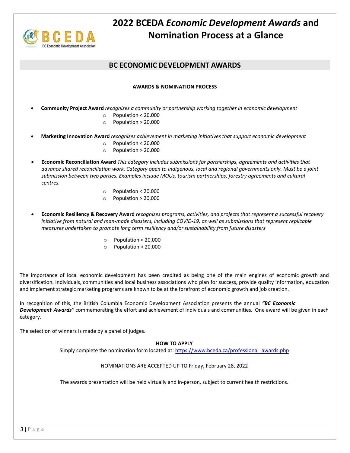

## **2022 BCEDA** *Economic Development Awards* **and Nomination Process at a Glance**

### **BC ECONOMIC DEVELOPMENT AWARDS**

#### **AWARDS & NOMINATION PROCESS**

- **Community Project Award** *recognizes a community or partnership working together in economic development*
	- o Population < 20,000
	- o Population > 20,000
- **Marketing Innovation Award** *recognizes achievement in marketing initiatives that support economic development*
	- o Population < 20,000
	- o Population > 20,000
- **Economic Reconciliation Award** *This category includes submissions for partnerships, agreements and activities that advance shared reconciliation work. Category open to Indigenous, local and regional governments only. Must be a joint submission between two parties. Examples include MOUs, tourism partnerships, forestry agreements and cultural centres.*
	- o Population < 20,000
	- o Population > 20,000
- **Economic Resiliency & Recovery Award** *recognizes programs, activities, and projects that represent a successful recovery initiative from natural and man-made disasters, including COVID-19, as well as submissions that represent replicable measures undertaken to promote long term resiliency and/or sustainability from future disasters*
	- o Population < 20,000
	- o Population > 20,000

The importance of local economic development has been credited as being one of the main engines of economic growth and diversification. Individuals, communities and local business associations who plan for success, provide quality information, education and implement strategic marketing programs are known to be at the forefront of economic growth and job creation.

In recognition of this, the British Columbia Economic Development Association presents the annual *"BC Economic Development Awards"* commemorating the effort and achievement of individuals and communities. One award will be given in each category.

The selection of winners is made by a panel of judges.

#### **HOW TO APPLY**

Simply complete the nomination form located at: https://www.bceda.ca/professional\_awards.php

#### NOMINATIONS ARE ACCEPTED UP TO Friday, February 28, 2022

The awards presentation will be held virtually and in-person, subject to current health restrictions.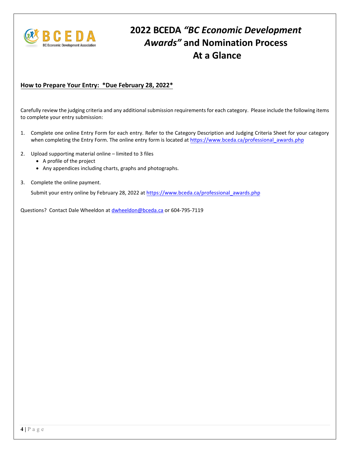

## **2022 BCEDA** *"BC Economic Development Awards"* **and Nomination Process At a Glance**

### **How to Prepare Your Entry: \*Due February 28, 2022\***

Carefully review the judging criteria and any additional submission requirements for each category. Please include the following items to complete your entry submission:

- 1. Complete one online Entry Form for each entry. Refer to the Category Description and Judging Criteria Sheet for your category when completing the Entry Form. The online entry form is located at [https://www.bceda.ca/professional\\_awards.php](https://www.bceda.ca/professional_awards.php)
- 2. Upload supporting material online limited to 3 files
	- A profile of the project
	- Any appendices including charts, graphs and photographs.
- 3. Complete the online payment.

Submit your entry online by February 28, 2022 a[t https://www.bceda.ca/professional\\_awards.php](https://www.bceda.ca/professional_awards.php)

Questions? Contact Dale Wheeldon at [dwheeldon@bceda.ca](mailto:dwheeldon@bceda.ca) or 604-795-7119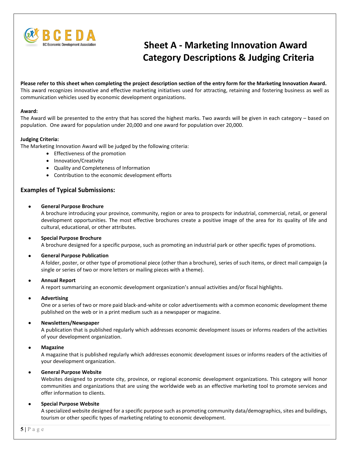

## **Sheet A - Marketing Innovation Award Category Descriptions & Judging Criteria**

**Please refer to this sheet when completing the project description section of the entry form for the Marketing Innovation Award.** This award recognizes innovative and effective marketing initiatives used for attracting, retaining and fostering business as well as communication vehicles used by economic development organizations.

#### **Award:**

The Award will be presented to the entry that has scored the highest marks. Two awards will be given in each category – based on population. One award for population under 20,000 and one award for population over 20,000.

#### **Judging Criteria:**

The Marketing Innovation Award will be judged by the following criteria:

- Effectiveness of the promotion
- Innovation/Creativity
- Quality and Completeness of Information
- Contribution to the economic development efforts

#### **Examples of Typical Submissions:**

#### • **General Purpose Brochure**

A brochure introducing your province, community, region or area to prospects for industrial, commercial, retail, or general development opportunities. The most effective brochures create a positive image of the area for its quality of life and cultural, educational, or other attributes.

#### • **Special Purpose Brochure**

A brochure designed for a specific purpose, such as promoting an industrial park or other specific types of promotions.

#### • **General Purpose Publication**

A folder, poster, or other type of promotional piece (other than a brochure), series of such items, or direct mail campaign (a single or series of two or more letters or mailing pieces with a theme).

#### • **Annual Report**

A report summarizing an economic development organization's annual activities and/or fiscal highlights.

#### • **Advertising**

One or a series of two or more paid black-and-white or color advertisements with a common economic development theme published on the web or in a print medium such as a newspaper or magazine.

#### • **Newsletters/Newspaper**

A publication that is published regularly which addresses economic development issues or informs readers of the activities of your development organization.

#### • **Magazine**

A magazine that is published regularly which addresses economic development issues or informs readers of the activities of your development organization.

#### • **General Purpose Website**

Websites designed to promote city, province, or regional economic development organizations. This category will honor communities and organizations that are using the worldwide web as an effective marketing tool to promote services and offer information to clients.

#### • **Special Purpose Website**

A specialized website designed for a specific purpose such as promoting community data/demographics, sites and buildings, tourism or other specific types of marketing relating to economic development.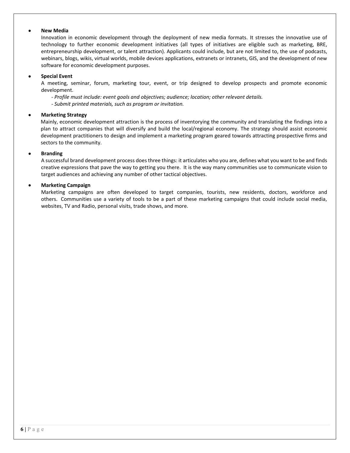#### • **New Media**

Innovation in economic development through the deployment of new media formats. It stresses the innovative use of technology to further economic development initiatives (all types of initiatives are eligible such as marketing, BRE, entrepreneurship development, or talent attraction). Applicants could include, but are not limited to, the use of podcasts, webinars, blogs, wikis, virtual worlds, mobile devices applications, extranets or intranets, GIS, and the development of new software for economic development purposes.

#### • **Special Event**

A meeting, seminar, forum, marketing tour, event, or trip designed to develop prospects and promote economic development.

*- Profile must include: event goals and objectives; audience; location; other relevant details.*

*- Submit printed materials, such as program or invitation.*

#### • **Marketing Strategy**

Mainly, economic development attraction is the process of inventorying the community and translating the findings into a plan to attract companies that will diversify and build the local/regional economy. The strategy should assist economic development practitioners to design and implement a marketing program geared towards attracting prospective firms and sectors to the community.

#### • **Branding**

A successful brand development process does three things: it articulates who you are, defines what you want to be and finds creative expressions that pave the way to getting you there. It is the way many communities use to communicate vision to target audiences and achieving any number of other tactical objectives.

#### • **Marketing Campaign**

Marketing campaigns are often developed to target companies, tourists, new residents, doctors, workforce and others. Communities use a variety of tools to be a part of these marketing campaigns that could include social media, websites, TV and Radio, personal visits, trade shows, and more.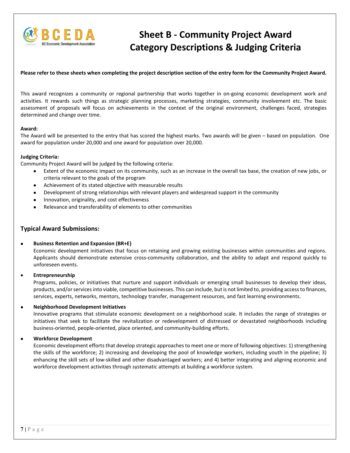

## **Sheet B - Community Project Award Category Descriptions & Judging Criteria**

#### **Please refer to these sheets when completing the project description section of the entry form for the Community Project Award.**

This award recognizes a community or regional partnership that works together in on-going economic development work and activities. It rewards such things as strategic planning processes, marketing strategies, community involvement etc. The basic assessment of proposals will focus on achievements in the context of the original environment, challenges faced, strategies determined and change over time.

#### **Award:**

The Award will be presented to the entry that has scored the highest marks. Two awards will be given – based on population. One award for population under 20,000 and one award for population over 20,000.

#### **Judging Criteria:**

Community Project Award will be judged by the following criteria:

- Extent of the economic impact on its community, such as an increase in the overall tax base, the creation of new jobs, or criteria relevant to the goals of the program
- Achievement of its stated objective with measurable results
- Development of strong relationships with relevant players and widespread support in the community
- Innovation, originality, and cost effectiveness
- Relevance and transferability of elements to other communities

#### **Typical Award Submissions:**

#### • **Business Retention and Expansion (BR+E)**

Economic development initiatives that focus on retaining and growing existing businesses within communities and regions. Applicants should demonstrate extensive cross-community collaboration, and the ability to adapt and respond quickly to unforeseen events.

#### • **Entrepreneurship**

Programs, policies, or initiatives that nurture and support individuals or emerging small businesses to develop their ideas, products, and/or services into viable, competitive businesses. This can include, but is not limited to, providing access to finances, services, experts, networks, mentors, technology transfer, management resources, and fast learning environments.

#### • **Neighborhood Development Initiatives**

Innovative programs that stimulate economic development on a neighborhood scale. It includes the range of strategies or initiatives that seek to facilitate the revitalization or redevelopment of distressed or devastated neighborhoods including business-oriented, people-oriented, place oriented, and community-building efforts.

#### • **Workforce Development**

Economic development efforts that develop strategic approaches to meet one or more of following objectives: 1) strengthening the skills of the workforce; 2) increasing and developing the pool of knowledge workers, including youth in the pipeline; 3) enhancing the skill sets of low-skilled and other disadvantaged workers; and 4) better integrating and aligning economic and workforce development activities through systematic attempts at building a workforce system.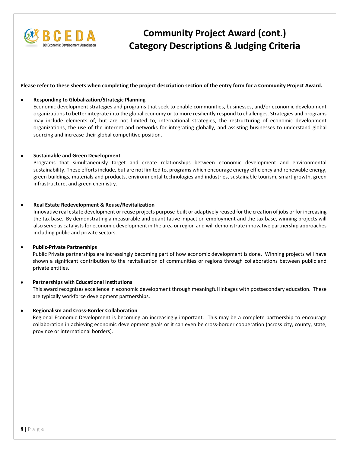

## **Community Project Award (cont.) Category Descriptions & Judging Criteria**

**Please refer to these sheets when completing the project description section of the entry form for a Community Project Award.**

#### • **Responding to Globalization/Strategic Planning**

Economic development strategies and programs that seek to enable communities, businesses, and/or economic development organizations to better integrate into the global economy or to more resiliently respond to challenges. Strategies and programs may include elements of, but are not limited to, international strategies, the restructuring of economic development organizations, the use of the internet and networks for integrating globally, and assisting businesses to understand global sourcing and increase their global competitive position.

#### • **Sustainable and Green Development**

Programs that simultaneously target and create relationships between economic development and environmental sustainability. These efforts include, but are not limited to, programs which encourage energy efficiency and renewable energy, green buildings, materials and products, environmental technologies and industries, sustainable tourism, smart growth, green infrastructure, and green chemistry.

#### • **Real Estate Redevelopment & Reuse/Revitalization**

Innovative real estate development or reuse projects purpose-built or adaptively reused for the creation of jobs or for increasing the tax base. By demonstrating a measurable and quantitative impact on employment and the tax base, winning projects will also serve as catalysts for economic development in the area or region and will demonstrate innovative partnership approaches including public and private sectors.

#### • **Public-Private Partnerships**

Public Private partnerships are increasingly becoming part of how economic development is done. Winning projects will have shown a significant contribution to the revitalization of communities or regions through collaborations between public and private entities.

#### • **Partnerships with Educational Institutions**

This award recognizes excellence in economic development through meaningful linkages with postsecondary education. These are typically workforce development partnerships.

#### • **Regionalism and Cross-Border Collaboration**

Regional Economic Development is becoming an increasingly important. This may be a complete partnership to encourage collaboration in achieving economic development goals or it can even be cross-border cooperation (across city, county, state, province or international borders).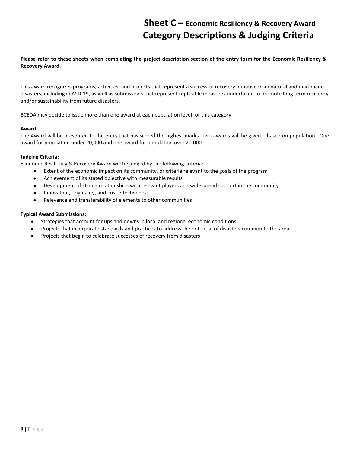### **Sheet C – Economic Resiliency & Recovery Award Category Descriptions & Judging Criteria**

**Please refer to these sheets when completing the project description section of the entry form for the Economic Resiliency & Recovery Award.**

This award recognizes programs, activities, and projects that represent a successful recovery initiative from natural and man-made disasters, including COVID-19, as well as submissions that represent replicable measures undertaken to promote long term resiliency and/or sustainability from future disasters.

BCEDA may decide to issue more than one award at each population level for this category.

#### **Award:**

The Award will be presented to the entry that has scored the highest marks. Two awards will be given – based on population. One award for population under 20,000 and one award for population over 20,000.

#### **Judging Criteria:**

Economic Resiliency & Recovery Award will be judged by the following criteria:

- Extent of the economic impact on its community, or criteria relevant to the goals of the program
- Achievement of its stated objective with measurable results
- Development of strong relationships with relevant players and widespread support in the community
- Innovation, originality, and cost effectiveness
- Relevance and transferability of elements to other communities

#### **Typical Award Submissions:**

- Strategies that account for ups and downs in local and regional economic conditions
- Projects that incorporate standards and practices to address the potential of disasters common to the area
- Projects that begin to celebrate successes of recovery from disasters